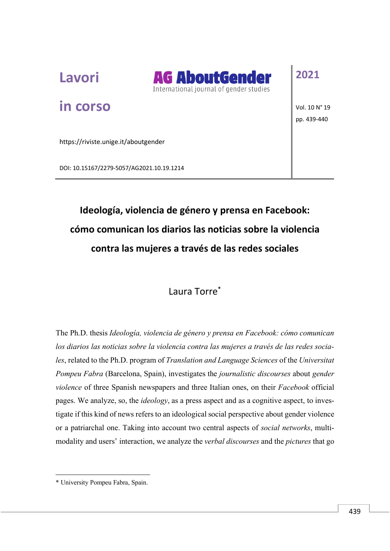

**in corso**



## **2021**

Vol. 10 N° 19 pp. 439-440

https://riviste.unige.it/aboutgender

DOI: 10.15167/2279-5057/AG2021.10.19.1214

## **Ideología, violencia de género y prensa en Facebook: cómo comunican los diarios las noticias sobre la violencia contra las mujeres a través de las redes sociales**

## Laura Torre\*

The Ph.D. thesis *Ideología, violencia de género y prensa en Facebook: cómo comunican los diarios las noticias sobre la violencia contra las mujeres a través de las redes sociales*, related to the Ph.D. program of *Translation and Language Sciences* of the *Universitat Pompeu Fabra* (Barcelona, Spain), investigates the *journalistic discourses* about *gender violence* of three Spanish newspapers and three Italian ones, on their *Facebook* official pages. We analyze, so, the *ideology*, as a press aspect and as a cognitive aspect, to investigate if this kind of news refers to an ideological social perspective about gender violence or a patriarchal one. Taking into account two central aspects of *social networks*, multimodality and users' interaction, we analyze the *verbal discourses* and the *pictures* that go

 $\overline{a}$ 

<sup>\*</sup> University Pompeu Fabra, Spain.